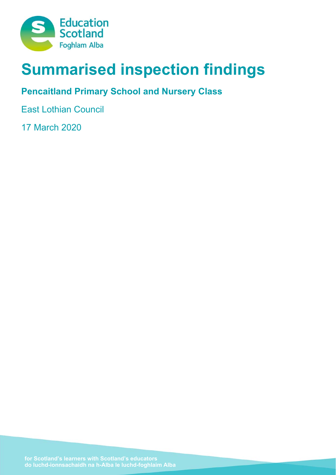

# **Summarised inspection findings**

## **Pencaitland Primary School and Nursery Class**

East Lothian Council

17 March 2020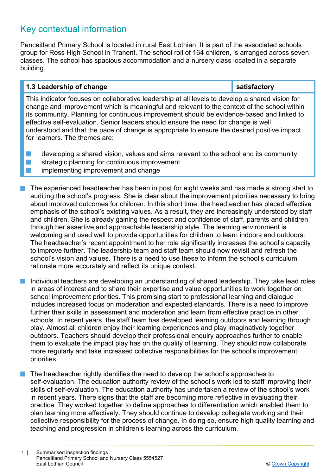## Key contextual information

Pencaitland Primary School is located in rural East Lothian. It is part of the associated schools group for Ross High School in Tranent. The school roll of 164 children, is arranged across seven classes. The school has spacious accommodation and a nursery class located in a separate building.

## **1.3 Leadership of change satisfactory**

This indicator focuses on collaborative leadership at all levels to develop a shared vision for change and improvement which is meaningful and relevant to the context of the school within its community. Planning for continuous improvement should be evidence-based and linked to effective self-evaluation. Senior leaders should ensure the need for change is well understood and that the pace of change is appropriate to ensure the desired positive impact for learners. The themes are:

- $\blacksquare$  developing a shared vision, values and aims relevant to the school and its community
- $\blacksquare$  strategic planning for continuous improvement
- $\blacksquare$  implementing improvement and change
- The experienced headteacher has been in post for eight weeks and has made a strong start to auditing the school's progress. She is clear about the improvement priorities necessary to bring about improved outcomes for children. In this short time, the headteacher has placed effective emphasis of the school's existing values. As a result, they are increasingly understood by staff and children. She is already gaining the respect and confidence of staff, parents and children through her assertive and approachable leadership style. The learning environment is welcoming and used well to provide opportunities for children to learn indoors and outdoors. The headteacher's recent appointment to her role significantly increases the school's capacity to improve further. The leadership team and staff team should now revisit and refresh the school's vision and values. There is a need to use these to inform the school's curriculum rationale more accurately and reflect its unique context.
- n Individual teachers are developing an understanding of shared leadership. They take lead roles in areas of interest and to share their expertise and value opportunities to work together on school improvement priorities. This promising start to professional learning and dialogue includes increased focus on moderation and expected standards. There is a need to improve further their skills in assessment and moderation and learn from effective practice in other schools. In recent years, the staff team has developed learning outdoors and learning through play. Almost all children enjoy their learning experiences and play imaginatively together outdoors. Teachers should develop their professional enquiry approaches further to enable them to evaluate the impact play has on the quality of learning. They should now collaborate more regularly and take increased collective responsibilities for the school's improvement priorities.
- The headteacher rightly identifies the need to develop the school's approaches to self-evaluation. The education authority review of the school's work led to staff improving their skills of self-evaluation. The education authority has undertaken a review of the school's work in recent years. There signs that the staff are becoming more reflective in evaluating their practice. They worked together to define approaches to differentiation which enabled them to plan learning more effectively. They should continue to develop collegiate working and their collective responsibility for the process of change. In doing so, ensure high quality learning and teaching and progression in children's learning across the curriculum.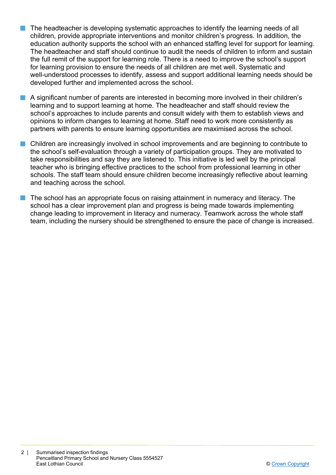- $\blacksquare$  The headteacher is developing systematic approaches to identify the learning needs of all children, provide appropriate interventions and monitor children's progress. In addition, the education authority supports the school with an enhanced staffing level for support for learning. The headteacher and staff should continue to audit the needs of children to inform and sustain the full remit of the support for learning role. There is a need to improve the school's support for learning provision to ensure the needs of all children are met well. Systematic and well-understood processes to identify, assess and support additional learning needs should be developed further and implemented across the school.
- **n** A significant number of parents are interested in becoming more involved in their children's learning and to support learning at home. The headteacher and staff should review the school's approaches to include parents and consult widely with them to establish views and opinions to inform changes to learning at home. Staff need to work more consistently as partners with parents to ensure learning opportunities are maximised across the school.
- n Children are increasingly involved in school improvements and are beginning to contribute to the school's self-evaluation through a variety of participation groups. They are motivated to take responsibilities and say they are listened to. This initiative is led well by the principal teacher who is bringing effective practices to the school from professional learning in other schools. The staff team should ensure children become increasingly reflective about learning and teaching across the school.
- n The school has an appropriate focus on raising attainment in numeracy and literacy. The school has a clear improvement plan and progress is being made towards implementing change leading to improvement in literacy and numeracy. Teamwork across the whole staff team, including the nursery should be strengthened to ensure the pace of change is increased.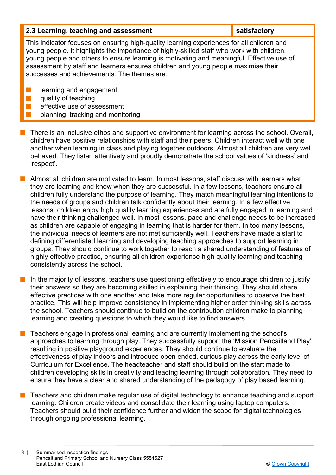| 2.3 Learning, teaching and assessment                                                                                                                                                                                                                                                                                                                                                                                    | satisfactory |  |
|--------------------------------------------------------------------------------------------------------------------------------------------------------------------------------------------------------------------------------------------------------------------------------------------------------------------------------------------------------------------------------------------------------------------------|--------------|--|
| This indicator focuses on ensuring high-quality learning experiences for all children and<br>young people. It highlights the importance of highly-skilled staff who work with children,<br>young people and others to ensure learning is motivating and meaningful. Effective use of<br>assessment by staff and learners ensures children and young people maximise their<br>successes and achievements. The themes are: |              |  |
| learning and engagement<br>quality of teaching<br>effective use of assessment<br>planning, tracking and monitoring                                                                                                                                                                                                                                                                                                       |              |  |

- **There is an inclusive ethos and supportive environment for learning across the school. Overall,** children have positive relationships with staff and their peers. Children interact well with one another when learning in class and playing together outdoors. Almost all children are very well behaved. They listen attentively and proudly demonstrate the school values of 'kindness' and 'respect'.
- n Almost all children are motivated to learn. In most lessons, staff discuss with learners what they are learning and know when they are successful. In a few lessons, teachers ensure all children fully understand the purpose of learning. They match meaningful learning intentions to the needs of groups and children talk confidently about their learning. In a few effective lessons, children enjoy high quality learning experiences and are fully engaged in learning and have their thinking challenged well. In most lessons, pace and challenge needs to be increased as children are capable of engaging in learning that is harder for them. In too many lessons, the individual needs of learners are not met sufficiently well. Teachers have made a start to defining differentiated learning and developing teaching approaches to support learning in groups. They should continue to work together to reach a shared understanding of features of highly effective practice, ensuring all children experience high quality learning and teaching consistently across the school.
- $\blacksquare$  In the majority of lessons, teachers use questioning effectively to encourage children to justify their answers so they are becoming skilled in explaining their thinking. They should share effective practices with one another and take more regular opportunities to observe the best practice. This will help improve consistency in implementing higher order thinking skills across the school. Teachers should continue to build on the contribution children make to planning learning and creating questions to which they would like to find answers.
- $\blacksquare$  Teachers engage in professional learning and are currently implementing the school's approaches to learning through play. They successfully support the 'Mission Pencaitland Play' resulting in positive playground experiences. They should continue to evaluate the effectiveness of play indoors and introduce open ended, curious play across the early level of Curriculum for Excellence. The headteacher and staff should build on the start made to children developing skills in creativity and leading learning through collaboration. They need to ensure they have a clear and shared understanding of the pedagogy of play based learning.
- n Teachers and children make regular use of digital technology to enhance teaching and support learning. Children create videos and consolidate their learning using laptop computers. Teachers should build their confidence further and widen the scope for digital technologies through ongoing professional learning.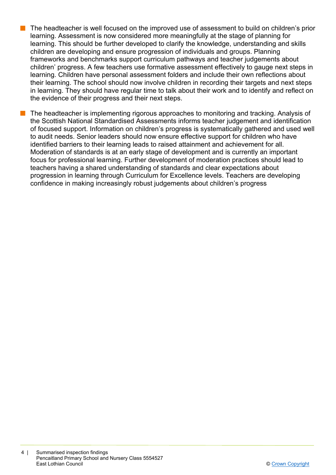- The headteacher is well focused on the improved use of assessment to build on children's prior learning. Assessment is now considered more meaningfully at the stage of planning for learning. This should be further developed to clarify the knowledge, understanding and skills children are developing and ensure progression of individuals and groups. Planning frameworks and benchmarks support curriculum pathways and teacher judgements about children' progress. A few teachers use formative assessment effectively to gauge next steps in learning. Children have personal assessment folders and include their own reflections about their learning. The school should now involve children in recording their targets and next steps in learning. They should have regular time to talk about their work and to identify and reflect on the evidence of their progress and their next steps.
- The headteacher is implementing rigorous approaches to monitoring and tracking. Analysis of the Scottish National Standardised Assessments informs teacher judgement and identification of focused support. Information on children's progress is systematically gathered and used well to audit needs. Senior leaders should now ensure effective support for children who have identified barriers to their learning leads to raised attainment and achievement for all. Moderation of standards is at an early stage of development and is currently an important focus for professional learning. Further development of moderation practices should lead to teachers having a shared understanding of standards and clear expectations about progression in learning through Curriculum for Excellence levels. Teachers are developing confidence in making increasingly robust judgements about children's progress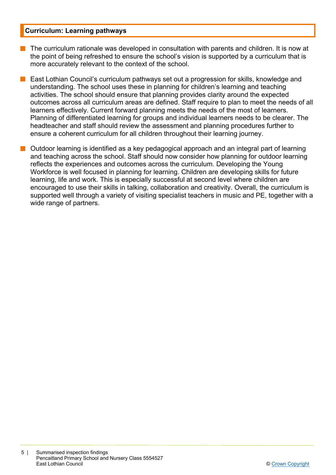#### **Curriculum: Learning pathways**

- The curriculum rationale was developed in consultation with parents and children. It is now at the point of being refreshed to ensure the school's vision is supported by a curriculum that is more accurately relevant to the context of the school.
- East Lothian Council's curriculum pathways set out a progression for skills, knowledge and understanding. The school uses these in planning for children's learning and teaching activities. The school should ensure that planning provides clarity around the expected outcomes across all curriculum areas are defined. Staff require to plan to meet the needs of all learners effectively. Current forward planning meets the needs of the most of learners. Planning of differentiated learning for groups and individual learners needs to be clearer. The headteacher and staff should review the assessment and planning procedures further to ensure a coherent curriculum for all children throughout their learning journey.
- $\blacksquare$  Outdoor learning is identified as a key pedagogical approach and an integral part of learning and teaching across the school. Staff should now consider how planning for outdoor learning reflects the experiences and outcomes across the curriculum. Developing the Young Workforce is well focused in planning for learning. Children are developing skills for future learning, life and work. This is especially successful at second level where children are encouraged to use their skills in talking, collaboration and creativity. Overall, the curriculum is supported well through a variety of visiting specialist teachers in music and PE, together with a wide range of partners.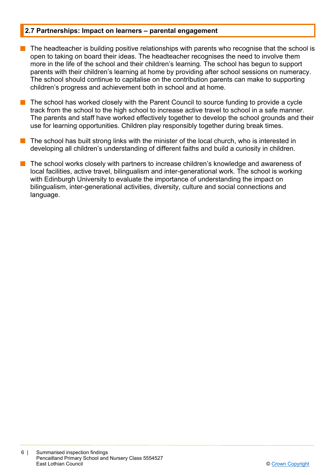#### **2.7 Partnerships: Impact on learners – parental engagement**

- $\blacksquare$  The headteacher is building positive relationships with parents who recognise that the school is open to taking on board their ideas. The headteacher recognises the need to involve them more in the life of the school and their children's learning. The school has begun to support parents with their children's learning at home by providing after school sessions on numeracy. The school should continue to capitalise on the contribution parents can make to supporting children's progress and achievement both in school and at home.
- n The school has worked closely with the Parent Council to source funding to provide a cycle track from the school to the high school to increase active travel to school in a safe manner. The parents and staff have worked effectively together to develop the school grounds and their use for learning opportunities. Children play responsibly together during break times.
- The school has built strong links with the minister of the local church, who is interested in developing all children's understanding of different faiths and build a curiosity in children.
- The school works closely with partners to increase children's knowledge and awareness of local facilities, active travel, bilingualism and inter-generational work. The school is working with Edinburgh University to evaluate the importance of understanding the impact on bilingualism, inter-generational activities, diversity, culture and social connections and language.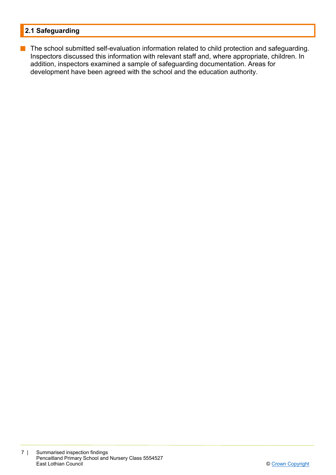### **2.1 Safeguarding**

**n** The school submitted self-evaluation information related to child protection and safeguarding. Inspectors discussed this information with relevant staff and, where appropriate, children. In addition, inspectors examined a sample of safeguarding documentation. Areas for development have been agreed with the school and the education authority.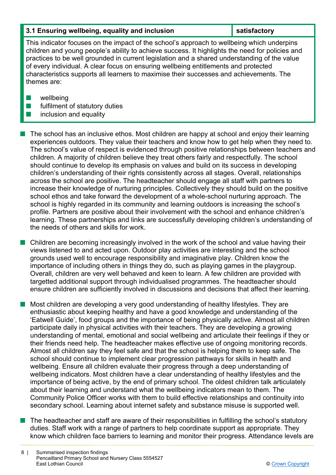#### **3.1 Ensuring wellbeing, equality and inclusion Series Association satisfactory**

This indicator focuses on the impact of the school's approach to wellbeing which underpins children and young people's ability to achieve success. It highlights the need for policies and practices to be well grounded in current legislation and a shared understanding of the value of every individual. A clear focus on ensuring wellbeing entitlements and protected characteristics supports all learners to maximise their successes and achievements. The themes are:

- $\blacksquare$  wellbeing
- $\blacksquare$  fulfilment of statutory duties
- $\blacksquare$  inclusion and equality

n The school has an inclusive ethos. Most children are happy at school and enjoy their learning experiences outdoors. They value their teachers and know how to get help when they need to. The school's value of respect is evidenced through positive relationships between teachers and children. A majority of children believe they treat others fairly and respectfully. The school should continue to develop its emphasis on values and build on its success in developing children's understanding of their rights consistently across all stages. Overall, relationships across the school are positive. The headteacher should engage all staff with partners to increase their knowledge of nurturing principles. Collectively they should build on the positive school ethos and take forward the development of a whole-school nurturing approach. The school is highly regarded in its community and learning outdoors is increasing the school's profile. Partners are positive about their involvement with the school and enhance children's learning. These partnerships and links are successfully developing children's understanding of the needs of others and skills for work.

 $\blacksquare$  Children are becoming increasingly involved in the work of the school and value having their views listened to and acted upon. Outdoor play activities are interesting and the school grounds used well to encourage responsibility and imaginative play. Children know the importance of including others in things they do, such as playing games in the playgroup. Overall, children are very well behaved and keen to learn. A few children are provided with targetted additional support through individualised programmes. The headteacher should ensure children are sufficiently involved in discussions and decisions that affect their learning.

n Most children are developing a very good understanding of healthy lifestyles. They are enthusiastic about keeping healthy and have a good knowledge and understanding of the 'Eatwell Guide', food groups and the importance of being physically active. Almost all children participate daily in physical activities with their teachers. They are developing a growing understanding of mental, emotional and social wellbeing and articulate their feelings if they or their friends need help. The headteacher makes effective use of ongoing monitoring records. Almost all children say they feel safe and that the school is helping them to keep safe. The school should continue to implement clear progression pathways for skills in health and wellbeing. Ensure all children evaluate their progress through a deep understanding of wellbeing indicators. Most children have a clear understanding of healthy lifestyles and the importance of being active, by the end of primary school. The oldest children talk articulately about their learning and understand what the wellbeing indicators mean to them. The Community Police Officer works with them to build effective relationships and continuity into secondary school. Learning about internet safety and substance misuse is supported well.

n The headteacher and staff are aware of their responsibilities in fulfilling the school's statutory duties. Staff work with a range of partners to help coordinate support as appropriate. They know which children face barriers to learning and monitor their progress. Attendance levels are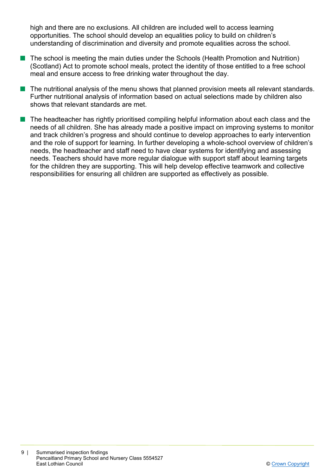high and there are no exclusions. All children are included well to access learning opportunities. The school should develop an equalities policy to build on children's understanding of discrimination and diversity and promote equalities across the school.

- The school is meeting the main duties under the Schools (Health Promotion and Nutrition) (Scotland) Act to promote school meals, protect the identity of those entitled to a free school meal and ensure access to free drinking water throughout the day.
- The nutritional analysis of the menu shows that planned provision meets all relevant standards. Further nutritional analysis of information based on actual selections made by children also shows that relevant standards are met.
- $\blacksquare$  The headteacher has rightly prioritised compiling helpful information about each class and the needs of all children. She has already made a positive impact on improving systems to monitor and track children's progress and should continue to develop approaches to early intervention and the role of support for learning. In further developing a whole-school overview of children's needs, the headteacher and staff need to have clear systems for identifying and assessing needs. Teachers should have more regular dialogue with support staff about learning targets for the children they are supporting. This will help develop effective teamwork and collective responsibilities for ensuring all children are supported as effectively as possible.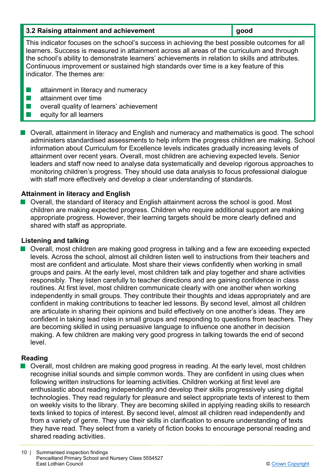| 3.2 Raising attainment and achievement | $\vert$ good |
|----------------------------------------|--------------|
|----------------------------------------|--------------|

This indicator focuses on the school's success in achieving the best possible outcomes for all learners. Success is measured in attainment across all areas of the curriculum and through the school's ability to demonstrate learners' achievements in relation to skills and attributes. Continuous improvement or sustained high standards over time is a key feature of this indicator. The themes are:

- $\blacksquare$  attainment in literacy and numeracy
- $\blacksquare$  attainment over time
- $\blacksquare$  overall quality of learners' achievement
- $\blacksquare$  equity for all learners

**Deall** attainment in literacy and English and numeracy and mathematics is good. The school administers standardised assessments to help inform the progress children are making. School information about Curriculum for Excellence levels indicates gradually increasing levels of attainment over recent years. Overall, most children are achieving expected levels. Senior leaders and staff now need to analyse data systematically and develop rigorous approaches to monitoring children's progress. They should use data analysis to focus professional dialogue with staff more effectively and develop a clear understanding of standards.

#### **Attainment in literacy and English**

n Overall, the standard of literacy and English attainment across the school is good. Most children are making expected progress. Children who require additional support are making appropriate progress. However, their learning targets should be more clearly defined and shared with staff as appropriate.

#### **Listening and talking**

■ Overall, most children are making good progress in talking and a few are exceeding expected levels. Across the school, almost all children listen well to instructions from their teachers and most are confident and articulate. Most share their views confidently when working in small groups and pairs. At the early level, most children talk and play together and share activities responsibly. They listen carefully to teacher directions and are gaining confidence in class routines. At first level, most children communicate clearly with one another when working independently in small groups. They contribute their thoughts and ideas appropriately and are confident in making contributions to teacher led lessons. By second level, almost all children are articulate in sharing their opinions and build effectively on one another's ideas. They are confident in taking lead roles in small groups and responding to questions from teachers. They are becoming skilled in using persuasive language to influence one another in decision making. A few children are making very good progress in talking towards the end of second level.

#### **Reading**

■ Overall, most children are making good progress in reading. At the early level, most children recognise initial sounds and simple common words. They are confident in using clues when following written instructions for learning activities. Children working at first level are enthusiastic about reading independently and develop their skills progressively using digital technologies. They read regularly for pleasure and select appropriate texts of interest to them on weekly visits to the library. They are becoming skilled in applying reading skills to research texts linked to topics of interest. By second level, almost all children read independently and from a variety of genre. They use their skills in clarification to ensure understanding of texts they have read. They select from a variety of fiction books to encourage personal reading and shared reading activities.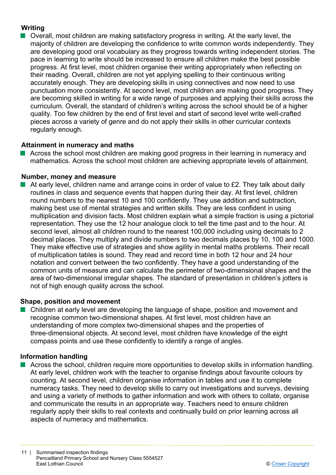#### **Writing**

 $\blacksquare$  Overall, most children are making satisfactory progress in writing. At the early level, the majority of children are developing the confidence to write common words independently. They are developing good oral vocabulary as they progress towards writing independent stories. The pace in learning to write should be increased to ensure all children make the best possible progress. At first level, most children organise their writing appropriately when reflecting on their reading. Overall, children are not yet applying spelling to their continuous writing accurately enough. They are developing skills in using connectives and now need to use punctuation more consistently. At second level, most children are making good progress. They are becoming skilled in writing for a wide range of purposes and applying their skills across the curriculum. Overall, the standard of children's writing across the school should be of a higher quality. Too few children by the end of first level and start of second level write well-crafted pieces across a variety of genre and do not apply their skills in other curricular contexts regularly enough.

#### **Attainment in numeracy and maths**

Across the school most children are making good progress in their learning in numeracy and mathematics. Across the school most children are achieving appropriate levels of attainment.

#### **Number, money and measure**

At early level, children name and arrange coins in order of value to £2. They talk about daily routines in class and sequence events that happen during their day. At first level, children round numbers to the nearest 10 and 100 confidently. They use addition and subtraction, making best use of mental strategies and written skills. They are less confident in using multiplication and division facts. Most children explain what a simple fraction is using a pictorial representation. They use the 12 hour analogue clock to tell the time past and to the hour. At second level, almost all children round to the nearest 100,000 including using decimals to 2 decimal places. They multiply and divide numbers to two decimals places by 10, 100 and 1000. They make effective use of strategies and show agility in mental maths problems. Their recall of multiplication tables is sound. They read and record time in both 12 hour and 24 hour notation and convert between the two confidently. They have a good understanding of the common units of measure and can calculate the perimeter of two-dimensional shapes and the area of two-dimensional irregular shapes. The standard of presentation in children's jotters is not of high enough quality across the school.

#### **Shape, position and movement**

■ Children at early level are developing the language of shape, position and movement and recognise common two-dimensional shapes. At first level, most children have an understanding of more complex two-dimensional shapes and the properties of three-dimensional objects. At second level, most children have knowledge of the eight compass points and use these confidently to identify a range of angles.

#### **Information handling**

■ Across the school, children require more opportunities to develop skills in information handling. At early level, children work with the teacher to organise findings about favourite colours by counting. At second level, children organise information in tables and use it to complete numeracy tasks. They need to develop skills to carry out investigations and surveys, devising and using a variety of methods to gather information and work with others to collate, organise and communicate the results in an appropriate way. Teachers need to ensure children regularly apply their skills to real contexts and continually build on prior learning across all aspects of numeracy and mathematics.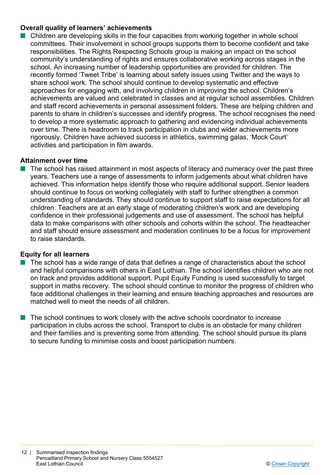#### **Overall quality of learners' achievements**

Children are developing skills in the four capacities from working together in whole school committees. Their involvement in school groups supports them to become confident and take responsibilities. The Rights Respecting Schools group is making an impact on the school community's understanding of rights and ensures collaborative working across stages in the school. An increasing number of leadership opportunities are provided for children. The recently formed 'Tweet Tribe' is learning about safety issues using Twitter and the ways to share school work. The school should continue to develop systematic and effective approaches for engaging with, and involving children in improving the school. Children's achievements are valued and celebrated in classes and at regular school assemblies. Children and staff record achievements in personal assessment folders. These are helping children and parents to share in children's successes and identify progress. The school recognises the need to develop a more systematic approach to gathering and evidencing individual achievements over time. There is headroom to track participation in clubs and wider achievements more rigorously. Children have achieved success in athletics, swimming galas, 'Mock Court' activities and participation in film awards.

#### **Attainment over time**

 $\blacksquare$  The school has raised attainment in most aspects of literacy and numeracy over the past three years. Teachers use a range of assessments to inform judgements about what children have achieved. This information helps identify those who require additional support. Senior leaders should continue to focus on working collegiately with staff to further strengthen a common understanding of standards. They should continue to support staff to raise expectations for all children. Teachers are at an early stage of moderating children's work and are developing confidence in their professional judgements and use of assessment. The school has helpful data to make comparisons with other schools and cohorts within the school. The headteacher and staff should ensure assessment and moderation continues to be a focus for improvement to raise standards.

#### **Equity for all learners**

- $\blacksquare$  The school has a wide range of data that defines a range of characteristics about the school and helpful comparisons with others in East Lothian. The school identifies children who are not on track and provides additional support. Pupil Equity Funding is used successfully to target support in maths recovery. The school should continue to monitor the progress of children who face additional challenges in their learning and ensure teaching approaches and resources are matched well to meet the needs of all children.
- The school continues to work closely with the active schools coordinator to increase participation in clubs across the school. Transport to clubs is an obstacle for many children and their families and is preventing some from attending. The school should pursue its plans to secure funding to minimise costs and boost participation numbers.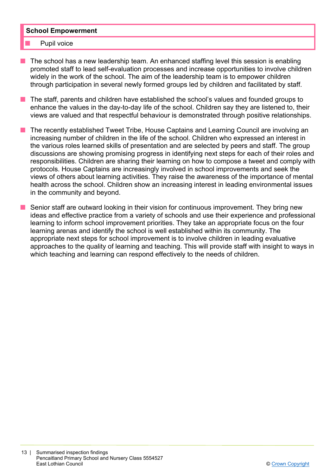#### **School Empowerment**

- Pupil voice
- The school has a new leadership team. An enhanced staffing level this session is enabling promoted staff to lead self-evaluation processes and increase opportunities to involve children widely in the work of the school. The aim of the leadership team is to empower children through participation in several newly formed groups led by children and facilitated by staff.
- n The staff, parents and children have established the school's values and founded groups to enhance the values in the day-to-day life of the school. Children say they are listened to, their views are valued and that respectful behaviour is demonstrated through positive relationships.
- The recently established Tweet Tribe, House Captains and Learning Council are involving an increasing number of children in the life of the school. Children who expressed an interest in the various roles learned skills of presentation and are selected by peers and staff. The group discussions are showing promising progress in identifying next steps for each of their roles and responsibilities. Children are sharing their learning on how to compose a tweet and comply with protocols. House Captains are increasingly involved in school improvements and seek the views of others about learning activities. They raise the awareness of the importance of mental health across the school. Children show an increasing interest in leading environmental issues in the community and beyond.
- $\blacksquare$  Senior staff are outward looking in their vision for continuous improvement. They bring new ideas and effective practice from a variety of schools and use their experience and professional learning to inform school improvement priorities. They take an appropriate focus on the four learning arenas and identify the school is well established within its community. The appropriate next steps for school improvement is to involve children in leading evaluative approaches to the quality of learning and teaching. This will provide staff with insight to ways in which teaching and learning can respond effectively to the needs of children.